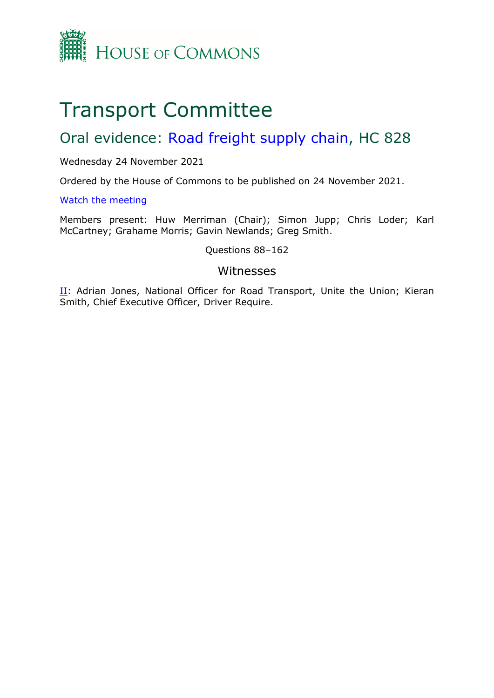

# Transport Committee

# Oral evidence: [Road](https://committees.parliament.uk/work/1587/road-freight-supply-chain/) [freight](https://committees.parliament.uk/work/1587/road-freight-supply-chain/) [supply](https://committees.parliament.uk/work/1587/road-freight-supply-chain/) [chain](https://committees.parliament.uk/work/1587/road-freight-supply-chain/), HC 828

#### Wednesday 24 November 2021

Ordered by the House of Commons to be published on 24 November 2021.

#### [Watch](https://parliamentlive.tv/event/index/292b60b5-e5ee-44f0-b340-b0b8cc2903d1?in=09:30:21) [the](https://parliamentlive.tv/event/index/292b60b5-e5ee-44f0-b340-b0b8cc2903d1?in=09:30:21) [meeting](https://parliamentlive.tv/event/index/292b60b5-e5ee-44f0-b340-b0b8cc2903d1?in=09:30:21)

Members present: Huw Merriman (Chair); Simon Jupp; Chris Loder; Karl McCartney; Grahame Morris; Gavin Newlands; Greg Smith.

#### Questions 88–162

#### Witnesses

[II](#page-1-0): Adrian Jones, National Officer for Road Transport, Unite the Union; Kieran Smith, Chief Executive Officer, Driver Require.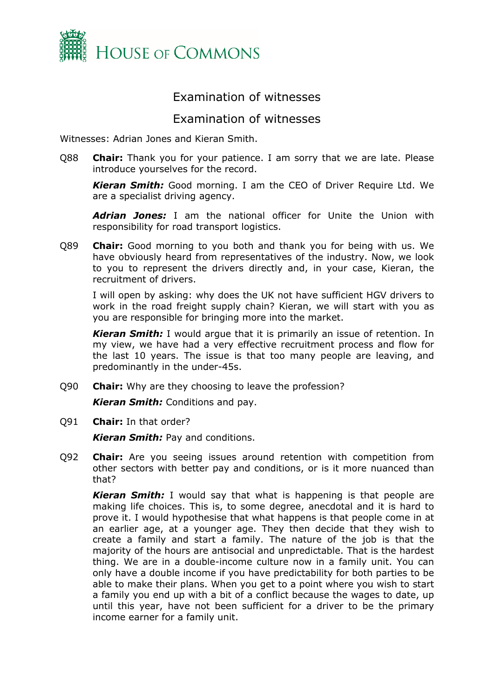

## Examination of witnesses

### <span id="page-1-0"></span>Examination of witnesses

Witnesses: Adrian Jones and Kieran Smith.

Q88 **Chair:** Thank you for your patience. I am sorry that we are late. Please introduce yourselves for the record.

*Kieran Smith:* Good morning. I am the CEO of Driver Require Ltd. We are a specialist driving agency.

*Adrian Jones:* I am the national officer for Unite the Union with responsibility for road transport logistics.

Q89 **Chair:** Good morning to you both and thank you for being with us. We have obviously heard from representatives of the industry. Now, we look to you to represent the drivers directly and, in your case, Kieran, the recruitment of drivers.

I will open by asking: why does the UK not have sufficient HGV drivers to work in the road freight supply chain? Kieran, we will start with you as you are responsible for bringing more into the market.

*Kieran Smith:* I would argue that it is primarily an issue of retention. In my view, we have had a very effective recruitment process and flow for the last 10 years. The issue is that too many people are leaving, and predominantly in the under-45s.

Q90 **Chair:** Why are they choosing to leave the profession?

*Kieran Smith:* Conditions and pay.

Q91 **Chair:** In that order?

*Kieran Smith:* Pay and conditions.

Q92 **Chair:** Are you seeing issues around retention with competition from other sectors with better pay and conditions, or is it more nuanced than that?

*Kieran Smith:* I would say that what is happening is that people are making life choices. This is, to some degree, anecdotal and it is hard to prove it. I would hypothesise that what happens is that people come in at an earlier age, at a younger age. They then decide that they wish to create a family and start a family. The nature of the job is that the majority of the hours are antisocial and unpredictable. That is the hardest thing. We are in a double-income culture now in a family unit. You can only have a double income if you have predictability for both parties to be able to make their plans. When you get to a point where you wish to start a family you end up with a bit of a conflict because the wages to date, up until this year, have not been sufficient for a driver to be the primary income earner for a family unit.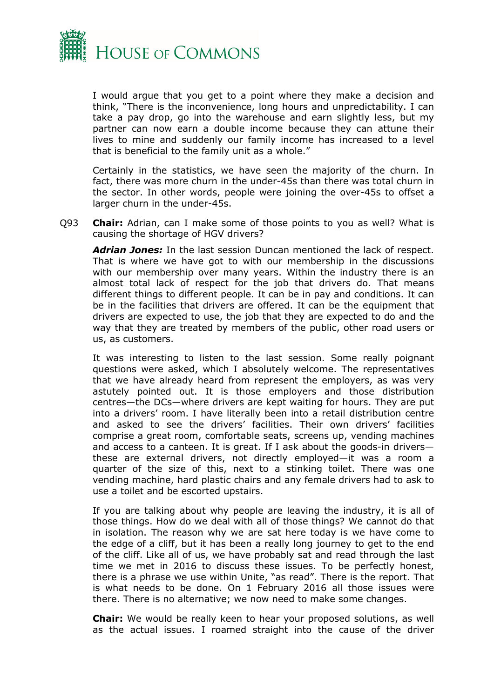

I would argue that you get to a point where they make a decision and think, "There is the inconvenience, long hours and unpredictability. I can take a pay drop, go into the warehouse and earn slightly less, but my partner can now earn a double income because they can attune their lives to mine and suddenly our family income has increased to a level that is beneficial to the family unit as a whole."

Certainly in the statistics, we have seen the majority of the churn. In fact, there was more churn in the under-45s than there was total churn in the sector. In other words, people were joining the over-45s to offset a larger churn in the under-45s.

Q93 **Chair:** Adrian, can I make some of those points to you as well? What is causing the shortage of HGV drivers?

*Adrian Jones:* In the last session Duncan mentioned the lack of respect. That is where we have got to with our membership in the discussions with our membership over many years. Within the industry there is an almost total lack of respect for the job that drivers do. That means different things to different people. It can be in pay and conditions. It can be in the facilities that drivers are offered. It can be the equipment that drivers are expected to use, the job that they are expected to do and the way that they are treated by members of the public, other road users or us, as customers.

It was interesting to listen to the last session. Some really poignant questions were asked, which I absolutely welcome. The representatives that we have already heard from represent the employers, as was very astutely pointed out. It is those employers and those distribution centres—the DCs—where drivers are kept waiting for hours. They are put into a drivers' room. I have literally been into a retail distribution centre and asked to see the drivers' facilities. Their own drivers' facilities comprise a great room, comfortable seats, screens up, vending machines and access to a canteen. It is great. If I ask about the goods-in drivers these are external drivers, not directly employed—it was a room a quarter of the size of this, next to a stinking toilet. There was one vending machine, hard plastic chairs and any female drivers had to ask to use a toilet and be escorted upstairs.

If you are talking about why people are leaving the industry, it is all of those things. How do we deal with all of those things? We cannot do that in isolation. The reason why we are sat here today is we have come to the edge of a cliff, but it has been a really long journey to get to the end of the cliff. Like all of us, we have probably sat and read through the last time we met in 2016 to discuss these issues. To be perfectly honest, there is a phrase we use within Unite, "as read". There is the report. That is what needs to be done. On 1 February 2016 all those issues were there. There is no alternative; we now need to make some changes.

**Chair:** We would be really keen to hear your proposed solutions, as well as the actual issues. I roamed straight into the cause of the driver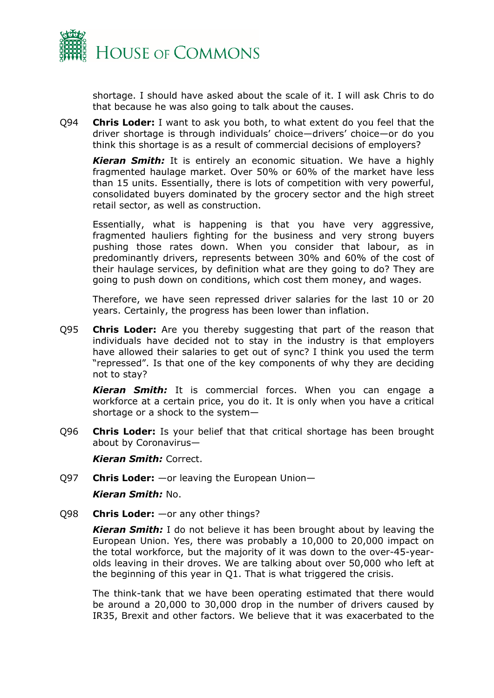

shortage. I should have asked about the scale of it. I will ask Chris to do that because he was also going to talk about the causes.

Q94 **Chris Loder:** I want to ask you both, to what extent do you feel that the driver shortage is through individuals' choice—drivers' choice—or do you think this shortage is as a result of commercial decisions of employers?

*Kieran Smith:* It is entirely an economic situation. We have a highly fragmented haulage market. Over 50% or 60% of the market have less than 15 units. Essentially, there is lots of competition with very powerful, consolidated buyers dominated by the grocery sector and the high street retail sector, as well as construction.

Essentially, what is happening is that you have very aggressive, fragmented hauliers fighting for the business and very strong buyers pushing those rates down. When you consider that labour, as in predominantly drivers, represents between 30% and 60% of the cost of their haulage services, by definition what are they going to do? They are going to push down on conditions, which cost them money, and wages.

Therefore, we have seen repressed driver salaries for the last 10 or 20 years. Certainly, the progress has been lower than inflation.

Q95 **Chris Loder:** Are you thereby suggesting that part of the reason that individuals have decided not to stay in the industry is that employers have allowed their salaries to get out of sync? I think you used the term "repressed". Is that one of the key components of why they are deciding not to stay?

*Kieran Smith:* It is commercial forces. When you can engage a workforce at a certain price, you do it. It is only when you have a critical shortage or a shock to the system—

Q96 **Chris Loder:** Is your belief that that critical shortage has been brought about by Coronavirus—

*Kieran Smith:* Correct.

Q97 **Chris Loder:** —or leaving the European Union—

*Kieran Smith:* No.

Q98 **Chris Loder:** —or any other things?

*Kieran Smith:* I do not believe it has been brought about by leaving the European Union. Yes, there was probably a 10,000 to 20,000 impact on the total workforce, but the majority of it was down to the over-45-yearolds leaving in their droves. We are talking about over 50,000 who left at the beginning of this year in Q1. That is what triggered the crisis.

The think-tank that we have been operating estimated that there would be around a 20,000 to 30,000 drop in the number of drivers caused by IR35, Brexit and other factors. We believe that it was exacerbated to the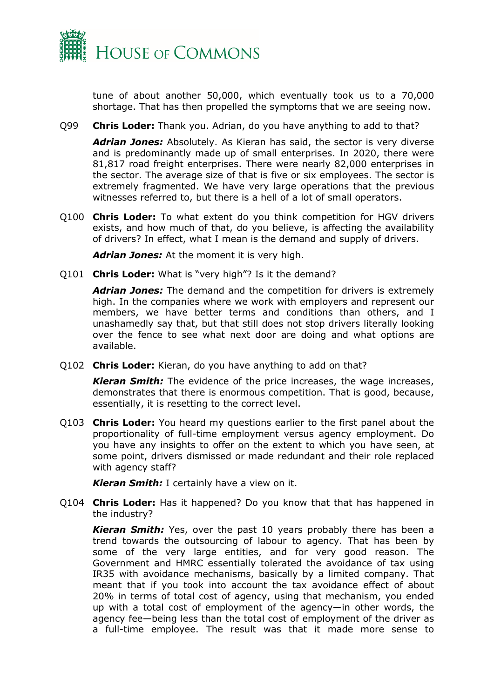

tune of about another 50,000, which eventually took us to a 70,000 shortage. That has then propelled the symptoms that we are seeing now.

Q99 **Chris Loder:** Thank you. Adrian, do you have anything to add to that?

*Adrian Jones:* Absolutely. As Kieran has said, the sector is very diverse and is predominantly made up of small enterprises. In 2020, there were 81,817 road freight enterprises. There were nearly 82,000 enterprises in the sector. The average size of that is five or six employees. The sector is extremely fragmented. We have very large operations that the previous witnesses referred to, but there is a hell of a lot of small operators.

Q100 **Chris Loder:** To what extent do you think competition for HGV drivers exists, and how much of that, do you believe, is affecting the availability of drivers? In effect, what I mean is the demand and supply of drivers.

*Adrian Jones:* At the moment it is very high.

Q101 **Chris Loder:** What is "very high"? Is it the demand?

*Adrian Jones:* The demand and the competition for drivers is extremely high. In the companies where we work with employers and represent our members, we have better terms and conditions than others, and I unashamedly say that, but that still does not stop drivers literally looking over the fence to see what next door are doing and what options are available.

Q102 **Chris Loder:** Kieran, do you have anything to add on that?

*Kieran Smith:* The evidence of the price increases, the wage increases, demonstrates that there is enormous competition. That is good, because, essentially, it is resetting to the correct level.

Q103 **Chris Loder:** You heard my questions earlier to the first panel about the proportionality of full-time employment versus agency employment. Do you have any insights to offer on the extent to which you have seen, at some point, drivers dismissed or made redundant and their role replaced with agency staff?

*Kieran Smith:* I certainly have a view on it.

Q104 **Chris Loder:** Has it happened? Do you know that that has happened in the industry?

*Kieran Smith:* Yes, over the past 10 years probably there has been a trend towards the outsourcing of labour to agency. That has been by some of the very large entities, and for very good reason. The Government and HMRC essentially tolerated the avoidance of tax using IR35 with avoidance mechanisms, basically by a limited company. That meant that if you took into account the tax avoidance effect of about 20% in terms of total cost of agency, using that mechanism, you ended up with a total cost of employment of the agency—in other words, the agency fee—being less than the total cost of employment of the driver as a full-time employee. The result was that it made more sense to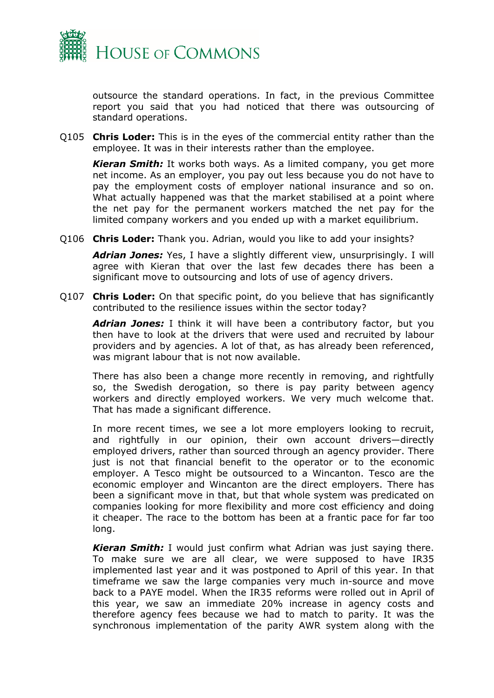

outsource the standard operations. In fact, in the previous Committee report you said that you had noticed that there was outsourcing of standard operations.

Q105 **Chris Loder:** This is in the eyes of the commercial entity rather than the employee. It was in their interests rather than the employee.

*Kieran Smith:* It works both ways. As a limited company, you get more net income. As an employer, you pay out less because you do not have to pay the employment costs of employer national insurance and so on. What actually happened was that the market stabilised at a point where the net pay for the permanent workers matched the net pay for the limited company workers and you ended up with a market equilibrium.

Q106 **Chris Loder:** Thank you. Adrian, would you like to add your insights?

*Adrian Jones:* Yes, I have a slightly different view, unsurprisingly. I will agree with Kieran that over the last few decades there has been a significant move to outsourcing and lots of use of agency drivers.

Q107 **Chris Loder:** On that specific point, do you believe that has significantly contributed to the resilience issues within the sector today?

*Adrian Jones:* I think it will have been a contributory factor, but you then have to look at the drivers that were used and recruited by labour providers and by agencies. A lot of that, as has already been referenced, was migrant labour that is not now available.

There has also been a change more recently in removing, and rightfully so, the Swedish derogation, so there is pay parity between agency workers and directly employed workers. We very much welcome that. That has made a significant difference.

In more recent times, we see a lot more employers looking to recruit, and rightfully in our opinion, their own account drivers—directly employed drivers, rather than sourced through an agency provider. There just is not that financial benefit to the operator or to the economic employer. A Tesco might be outsourced to a Wincanton. Tesco are the economic employer and Wincanton are the direct employers. There has been a significant move in that, but that whole system was predicated on companies looking for more flexibility and more cost efficiency and doing it cheaper. The race to the bottom has been at a frantic pace for far too long.

*Kieran Smith:* I would just confirm what Adrian was just saying there. To make sure we are all clear, we were supposed to have IR35 implemented last year and it was postponed to April of this year. In that timeframe we saw the large companies very much in-source and move back to a PAYE model. When the IR35 reforms were rolled out in April of this year, we saw an immediate 20% increase in agency costs and therefore agency fees because we had to match to parity. It was the synchronous implementation of the parity AWR system along with the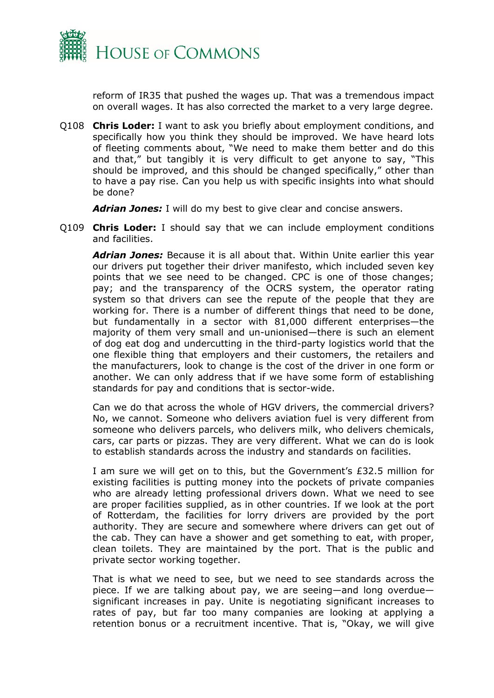

reform of IR35 that pushed the wages up. That was a tremendous impact on overall wages. It has also corrected the market to a very large degree.

Q108 **Chris Loder:** I want to ask you briefly about employment conditions, and specifically how you think they should be improved. We have heard lots of fleeting comments about, "We need to make them better and do this and that," but tangibly it is very difficult to get anyone to say, "This should be improved, and this should be changed specifically," other than to have a pay rise. Can you help us with specific insights into what should be done?

*Adrian Jones:* I will do my best to give clear and concise answers.

Q109 **Chris Loder:** I should say that we can include employment conditions and facilities.

*Adrian Jones:* Because it is all about that. Within Unite earlier this year our drivers put together their driver manifesto, which included seven key points that we see need to be changed. CPC is one of those changes; pay; and the transparency of the OCRS system, the operator rating system so that drivers can see the repute of the people that they are working for. There is a number of different things that need to be done, but fundamentally in a sector with 81,000 different enterprises—the majority of them very small and un-unionised—there is such an element of dog eat dog and undercutting in the third-party logistics world that the one flexible thing that employers and their customers, the retailers and the manufacturers, look to change is the cost of the driver in one form or another. We can only address that if we have some form of establishing standards for pay and conditions that is sector-wide.

Can we do that across the whole of HGV drivers, the commercial drivers? No, we cannot. Someone who delivers aviation fuel is very different from someone who delivers parcels, who delivers milk, who delivers chemicals, cars, car parts or pizzas. They are very different. What we can do is look to establish standards across the industry and standards on facilities.

I am sure we will get on to this, but the Government's £32.5 million for existing facilities is putting money into the pockets of private companies who are already letting professional drivers down. What we need to see are proper facilities supplied, as in other countries. If we look at the port of Rotterdam, the facilities for lorry drivers are provided by the port authority. They are secure and somewhere where drivers can get out of the cab. They can have a shower and get something to eat, with proper, clean toilets. They are maintained by the port. That is the public and private sector working together.

That is what we need to see, but we need to see standards across the piece. If we are talking about pay, we are seeing—and long overdue significant increases in pay. Unite is negotiating significant increases to rates of pay, but far too many companies are looking at applying a retention bonus or a recruitment incentive. That is, "Okay, we will give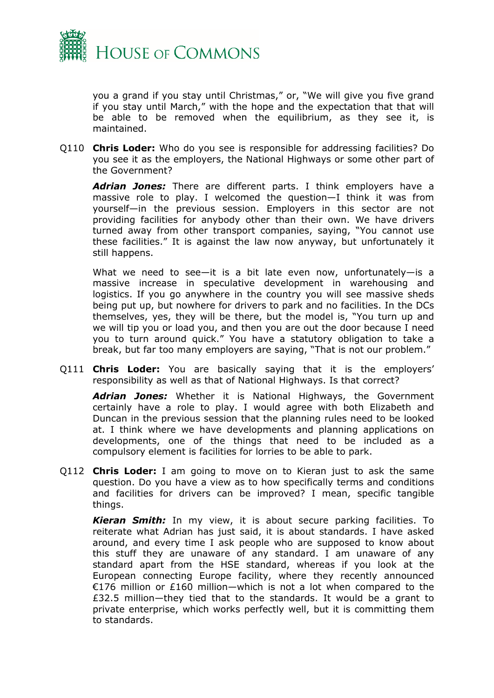

you a grand if you stay until Christmas," or, "We will give you five grand if you stay until March," with the hope and the expectation that that will be able to be removed when the equilibrium, as they see it, is maintained.

Q110 **Chris Loder:** Who do you see is responsible for addressing facilities? Do you see it as the employers, the National Highways or some other part of the Government?

*Adrian Jones:* There are different parts. I think employers have a massive role to play. I welcomed the question—I think it was from yourself—in the previous session. Employers in this sector are not providing facilities for anybody other than their own. We have drivers turned away from other transport companies, saying, "You cannot use these facilities." It is against the law now anyway, but unfortunately it still happens.

What we need to see—it is a bit late even now, unfortunately—is a massive increase in speculative development in warehousing and logistics. If you go anywhere in the country you will see massive sheds being put up, but nowhere for drivers to park and no facilities. In the DCs themselves, yes, they will be there, but the model is, "You turn up and we will tip you or load you, and then you are out the door because I need you to turn around quick." You have a statutory obligation to take a break, but far too many employers are saying, "That is not our problem."

Q111 **Chris Loder:** You are basically saying that it is the employers' responsibility as well as that of National Highways. Is that correct?

*Adrian Jones:* Whether it is National Highways, the Government certainly have a role to play. I would agree with both Elizabeth and Duncan in the previous session that the planning rules need to be looked at. I think where we have developments and planning applications on developments, one of the things that need to be included as a compulsory element is facilities for lorries to be able to park.

Q112 **Chris Loder:** I am going to move on to Kieran just to ask the same question. Do you have a view as to how specifically terms and conditions and facilities for drivers can be improved? I mean, specific tangible things.

*Kieran Smith:* In my view, it is about secure parking facilities. To reiterate what Adrian has just said, it is about standards. I have asked around, and every time I ask people who are supposed to know about this stuff they are unaware of any standard. I am unaware of any standard apart from the HSE standard, whereas if you look at the European connecting Europe facility, where they recently announced €176 million or £160 million—which is not a lot when compared to the £32.5 million—they tied that to the standards. It would be a grant to private enterprise, which works perfectly well, but it is committing them to standards.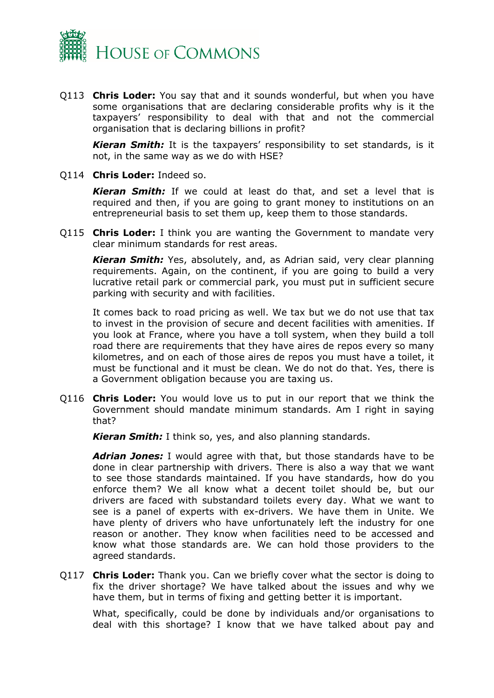

Q113 **Chris Loder:** You say that and it sounds wonderful, but when you have some organisations that are declaring considerable profits why is it the taxpayers' responsibility to deal with that and not the commercial organisation that is declaring billions in profit?

*Kieran Smith:* It is the taxpayers' responsibility to set standards, is it not, in the same way as we do with HSE?

Q114 **Chris Loder:** Indeed so.

*Kieran Smith:* If we could at least do that, and set a level that is required and then, if you are going to grant money to institutions on an entrepreneurial basis to set them up, keep them to those standards.

Q115 **Chris Loder:** I think you are wanting the Government to mandate very clear minimum standards for rest areas.

*Kieran Smith:* Yes, absolutely, and, as Adrian said, very clear planning requirements. Again, on the continent, if you are going to build a very lucrative retail park or commercial park, you must put in sufficient secure parking with security and with facilities.

It comes back to road pricing as well. We tax but we do not use that tax to invest in the provision of secure and decent facilities with amenities. If you look at France, where you have a toll system, when they build a toll road there are requirements that they have aires de repos every so many kilometres, and on each of those aires de repos you must have a toilet, it must be functional and it must be clean. We do not do that. Yes, there is a Government obligation because you are taxing us.

Q116 **Chris Loder:** You would love us to put in our report that we think the Government should mandate minimum standards. Am I right in saying that?

*Kieran Smith:* I think so, yes, and also planning standards.

*Adrian Jones:* I would agree with that, but those standards have to be done in clear partnership with drivers. There is also a way that we want to see those standards maintained. If you have standards, how do you enforce them? We all know what a decent toilet should be, but our drivers are faced with substandard toilets every day. What we want to see is a panel of experts with ex-drivers. We have them in Unite. We have plenty of drivers who have unfortunately left the industry for one reason or another. They know when facilities need to be accessed and know what those standards are. We can hold those providers to the agreed standards.

Q117 **Chris Loder:** Thank you. Can we briefly cover what the sector is doing to fix the driver shortage? We have talked about the issues and why we have them, but in terms of fixing and getting better it is important.

What, specifically, could be done by individuals and/or organisations to deal with this shortage? I know that we have talked about pay and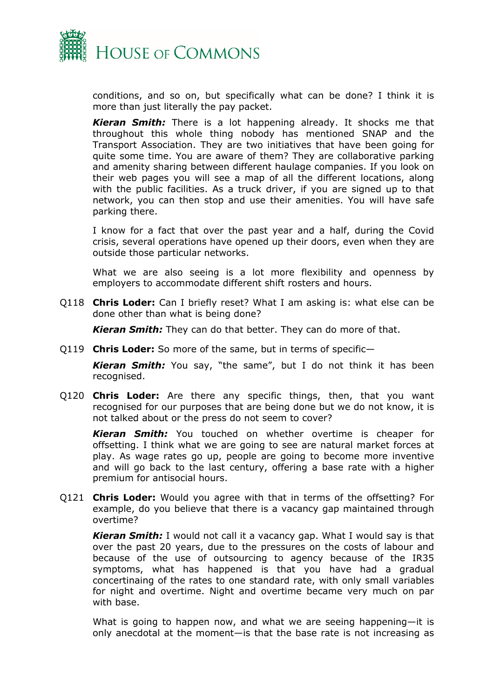

conditions, and so on, but specifically what can be done? I think it is more than just literally the pay packet.

*Kieran Smith:* There is a lot happening already. It shocks me that throughout this whole thing nobody has mentioned SNAP and the Transport Association. They are two initiatives that have been going for quite some time. You are aware of them? They are collaborative parking and amenity sharing between different haulage companies. If you look on their web pages you will see a map of all the different locations, along with the public facilities. As a truck driver, if you are signed up to that network, you can then stop and use their amenities. You will have safe parking there.

I know for a fact that over the past year and a half, during the Covid crisis, several operations have opened up their doors, even when they are outside those particular networks.

What we are also seeing is a lot more flexibility and openness by employers to accommodate different shift rosters and hours.

Q118 **Chris Loder:** Can I briefly reset? What I am asking is: what else can be done other than what is being done?

*Kieran Smith:* They can do that better. They can do more of that.

Q119 **Chris Loder:** So more of the same, but in terms of specific—

*Kieran Smith:* You say, "the same", but I do not think it has been recognised.

Q120 **Chris Loder:** Are there any specific things, then, that you want recognised for our purposes that are being done but we do not know, it is not talked about or the press do not seem to cover?

*Kieran Smith:* You touched on whether overtime is cheaper for offsetting. I think what we are going to see are natural market forces at play. As wage rates go up, people are going to become more inventive and will go back to the last century, offering a base rate with a higher premium for antisocial hours.

Q121 **Chris Loder:** Would you agree with that in terms of the offsetting? For example, do you believe that there is a vacancy gap maintained through overtime?

*Kieran Smith:* I would not call it a vacancy gap. What I would say is that over the past 20 years, due to the pressures on the costs of labour and because of the use of outsourcing to agency because of the IR35 symptoms, what has happened is that you have had a gradual concertinaing of the rates to one standard rate, with only small variables for night and overtime. Night and overtime became very much on par with base.

What is going to happen now, and what we are seeing happening—it is only anecdotal at the moment—is that the base rate is not increasing as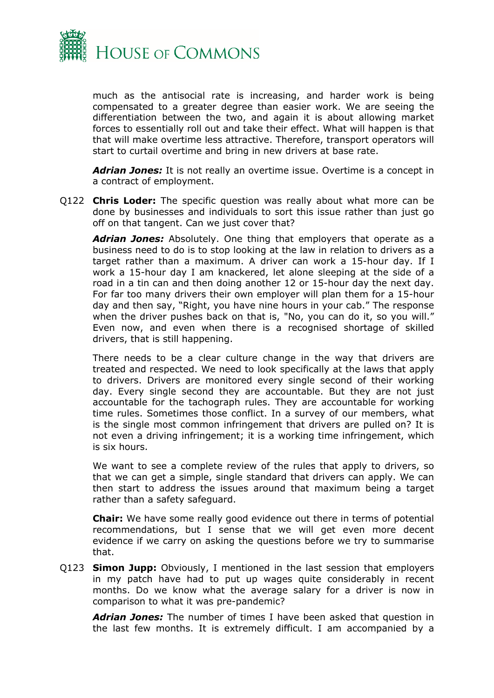

much as the antisocial rate is increasing, and harder work is being compensated to a greater degree than easier work. We are seeing the differentiation between the two, and again it is about allowing market forces to essentially roll out and take their effect. What will happen is that that will make overtime less attractive. Therefore, transport operators will start to curtail overtime and bring in new drivers at base rate.

*Adrian Jones:* It is not really an overtime issue. Overtime is a concept in a contract of employment.

Q122 **Chris Loder:** The specific question was really about what more can be done by businesses and individuals to sort this issue rather than just go off on that tangent. Can we just cover that?

*Adrian Jones:* Absolutely. One thing that employers that operate as a business need to do is to stop looking at the law in relation to drivers as a target rather than a maximum. A driver can work a 15-hour day. If I work a 15-hour day I am knackered, let alone sleeping at the side of a road in a tin can and then doing another 12 or 15-hour day the next day. For far too many drivers their own employer will plan them for a 15-hour day and then say, "Right, you have nine hours in your cab." The response when the driver pushes back on that is, "No, you can do it, so you will." Even now, and even when there is a recognised shortage of skilled drivers, that is still happening.

There needs to be a clear culture change in the way that drivers are treated and respected. We need to look specifically at the laws that apply to drivers. Drivers are monitored every single second of their working day. Every single second they are accountable. But they are not just accountable for the tachograph rules. They are accountable for working time rules. Sometimes those conflict. In a survey of our members, what is the single most common infringement that drivers are pulled on? It is not even a driving infringement; it is a working time infringement, which is six hours.

We want to see a complete review of the rules that apply to drivers, so that we can get a simple, single standard that drivers can apply. We can then start to address the issues around that maximum being a target rather than a safety safeguard.

**Chair:** We have some really good evidence out there in terms of potential recommendations, but I sense that we will get even more decent evidence if we carry on asking the questions before we try to summarise that.

Q123 **Simon Jupp:** Obviously, I mentioned in the last session that employers in my patch have had to put up wages quite considerably in recent months. Do we know what the average salary for a driver is now in comparison to what it was pre-pandemic?

*Adrian Jones:* The number of times I have been asked that question in the last few months. It is extremely difficult. I am accompanied by a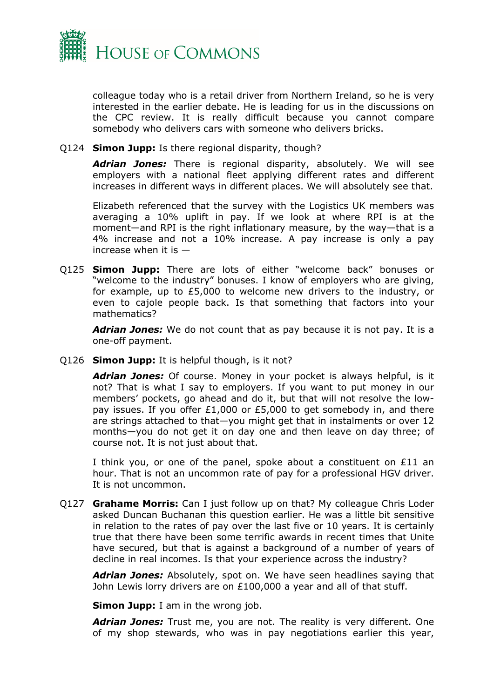

colleague today who is a retail driver from Northern Ireland, so he is very interested in the earlier debate. He is leading for us in the discussions on the CPC review. It is really difficult because you cannot compare somebody who delivers cars with someone who delivers bricks.

Q124 **Simon Jupp:** Is there regional disparity, though?

*Adrian Jones:* There is regional disparity, absolutely. We will see employers with a national fleet applying different rates and different increases in different ways in different places. We will absolutely see that.

Elizabeth referenced that the survey with the Logistics UK members was averaging a 10% uplift in pay. If we look at where RPI is at the moment—and RPI is the right inflationary measure, by the way—that is a 4% increase and not a 10% increase. A pay increase is only a pay increase when it is  $-$ 

Q125 **Simon Jupp:** There are lots of either "welcome back" bonuses or "welcome to the industry" bonuses. I know of employers who are giving, for example, up to £5,000 to welcome new drivers to the industry, or even to cajole people back. Is that something that factors into your mathematics?

*Adrian Jones:* We do not count that as pay because it is not pay. It is a one-off payment.

Q126 **Simon Jupp:** It is helpful though, is it not?

*Adrian Jones:* Of course. Money in your pocket is always helpful, is it not? That is what I say to employers. If you want to put money in our members' pockets, go ahead and do it, but that will not resolve the lowpay issues. If you offer £1,000 or £5,000 to get somebody in, and there are strings attached to that—you might get that in instalments or over 12 months—you do not get it on day one and then leave on day three; of course not. It is not just about that.

I think you, or one of the panel, spoke about a constituent on £11 an hour. That is not an uncommon rate of pay for a professional HGV driver. It is not uncommon.

Q127 **Grahame Morris:** Can I just follow up on that? My colleague Chris Loder asked Duncan Buchanan this question earlier. He was a little bit sensitive in relation to the rates of pay over the last five or 10 years. It is certainly true that there have been some terrific awards in recent times that Unite have secured, but that is against a background of a number of years of decline in real incomes. Is that your experience across the industry?

*Adrian Jones:* Absolutely, spot on. We have seen headlines saying that John Lewis lorry drivers are on £100,000 a year and all of that stuff.

**Simon Jupp:** I am in the wrong job.

*Adrian Jones:* Trust me, you are not. The reality is very different. One of my shop stewards, who was in pay negotiations earlier this year,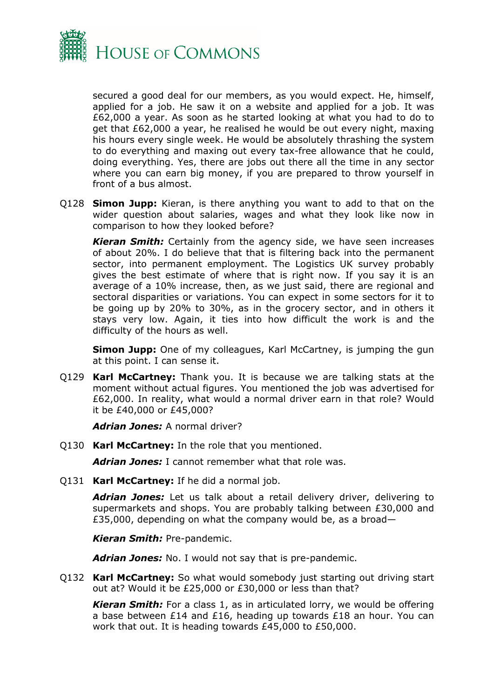

secured a good deal for our members, as you would expect. He, himself, applied for a job. He saw it on a website and applied for a job. It was £62,000 a year. As soon as he started looking at what you had to do to get that £62,000 a year, he realised he would be out every night, maxing his hours every single week. He would be absolutely thrashing the system to do everything and maxing out every tax-free allowance that he could, doing everything. Yes, there are jobs out there all the time in any sector where you can earn big money, if you are prepared to throw yourself in front of a bus almost.

Q128 **Simon Jupp:** Kieran, is there anything you want to add to that on the wider question about salaries, wages and what they look like now in comparison to how they looked before?

*Kieran Smith:* Certainly from the agency side, we have seen increases of about 20%. I do believe that that is filtering back into the permanent sector, into permanent employment. The Logistics UK survey probably gives the best estimate of where that is right now. If you say it is an average of a 10% increase, then, as we just said, there are regional and sectoral disparities or variations. You can expect in some sectors for it to be going up by 20% to 30%, as in the grocery sector, and in others it stays very low. Again, it ties into how difficult the work is and the difficulty of the hours as well.

**Simon Jupp:** One of my colleagues, Karl McCartney, is jumping the gun at this point. I can sense it.

Q129 **Karl McCartney:** Thank you. It is because we are talking stats at the moment without actual figures. You mentioned the job was advertised for £62,000. In reality, what would a normal driver earn in that role? Would it be £40,000 or £45,000?

*Adrian Jones:* A normal driver?

Q130 **Karl McCartney:** In the role that you mentioned.

*Adrian Jones:* I cannot remember what that role was.

Q131 **Karl McCartney:** If he did a normal job.

*Adrian Jones:* Let us talk about a retail delivery driver, delivering to supermarkets and shops. You are probably talking between £30,000 and £35,000, depending on what the company would be, as a broad—

*Kieran Smith:* Pre-pandemic.

*Adrian Jones:* No. I would not say that is pre-pandemic.

Q132 **Karl McCartney:** So what would somebody just starting out driving start out at? Would it be £25,000 or £30,000 or less than that?

*Kieran Smith:* For a class 1, as in articulated lorry, we would be offering a base between £14 and £16, heading up towards £18 an hour. You can work that out. It is heading towards £45,000 to £50,000.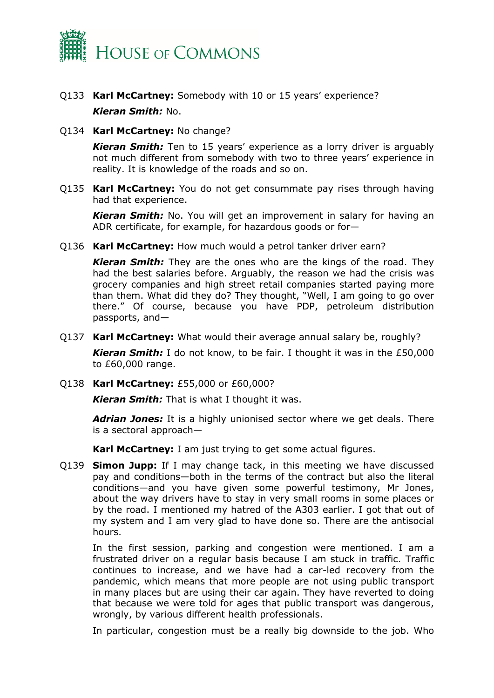

- Q133 **Karl McCartney:** Somebody with 10 or 15 years' experience? *Kieran Smith:* No.
- Q134 **Karl McCartney:** No change?

*Kieran Smith:* Ten to 15 years' experience as a lorry driver is arguably not much different from somebody with two to three years' experience in reality. It is knowledge of the roads and so on.

Q135 **Karl McCartney:** You do not get consummate pay rises through having had that experience.

*Kieran Smith:* No. You will get an improvement in salary for having an ADR certificate, for example, for hazardous goods or for—

Q136 **Karl McCartney:** How much would a petrol tanker driver earn?

*Kieran Smith:* They are the ones who are the kings of the road. They had the best salaries before. Arguably, the reason we had the crisis was grocery companies and high street retail companies started paying more than them. What did they do? They thought, "Well, I am going to go over there." Of course, because you have PDP, petroleum distribution passports, and—

Q137 **Karl McCartney:** What would their average annual salary be, roughly?

*Kieran Smith:* I do not know, to be fair. I thought it was in the £50,000 to £60,000 range.

Q138 **Karl McCartney:** £55,000 or £60,000?

*Kieran Smith:* That is what I thought it was.

*Adrian Jones:* It is a highly unionised sector where we get deals. There is a sectoral approach—

**Karl McCartney:** I am just trying to get some actual figures.

Q139 **Simon Jupp:** If I may change tack, in this meeting we have discussed pay and conditions—both in the terms of the contract but also the literal conditions—and you have given some powerful testimony, Mr Jones, about the way drivers have to stay in very small rooms in some places or by the road. I mentioned my hatred of the A303 earlier. I got that out of my system and I am very glad to have done so. There are the antisocial hours.

In the first session, parking and congestion were mentioned. I am a frustrated driver on a regular basis because I am stuck in traffic. Traffic continues to increase, and we have had a car-led recovery from the pandemic, which means that more people are not using public transport in many places but are using their car again. They have reverted to doing that because we were told for ages that public transport was dangerous, wrongly, by various different health professionals.

In particular, congestion must be a really big downside to the job. Who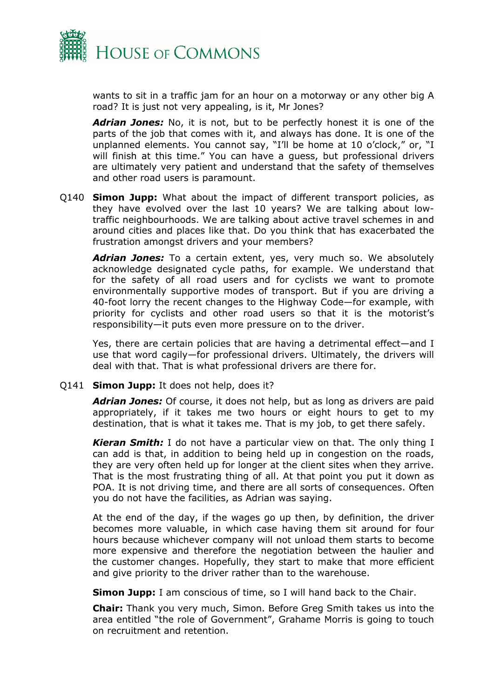

wants to sit in a traffic jam for an hour on a motorway or any other big A road? It is just not very appealing, is it, Mr Jones?

*Adrian Jones:* No, it is not, but to be perfectly honest it is one of the parts of the job that comes with it, and always has done. It is one of the unplanned elements. You cannot say, "I'll be home at 10 o'clock," or, "I will finish at this time." You can have a guess, but professional drivers are ultimately very patient and understand that the safety of themselves and other road users is paramount.

Q140 **Simon Jupp:** What about the impact of different transport policies, as they have evolved over the last 10 years? We are talking about lowtraffic neighbourhoods. We are talking about active travel schemes in and around cities and places like that. Do you think that has exacerbated the frustration amongst drivers and your members?

*Adrian Jones:* To a certain extent, yes, very much so. We absolutely acknowledge designated cycle paths, for example. We understand that for the safety of all road users and for cyclists we want to promote environmentally supportive modes of transport. But if you are driving a 40-foot lorry the recent changes to the Highway Code—for example, with priority for cyclists and other road users so that it is the motorist's responsibility—it puts even more pressure on to the driver.

Yes, there are certain policies that are having a detrimental effect—and I use that word cagily—for professional drivers. Ultimately, the drivers will deal with that. That is what professional drivers are there for.

Q141 **Simon Jupp:** It does not help, does it?

*Adrian Jones:* Of course, it does not help, but as long as drivers are paid appropriately, if it takes me two hours or eight hours to get to my destination, that is what it takes me. That is my job, to get there safely.

*Kieran Smith:* I do not have a particular view on that. The only thing I can add is that, in addition to being held up in congestion on the roads, they are very often held up for longer at the client sites when they arrive. That is the most frustrating thing of all. At that point you put it down as POA. It is not driving time, and there are all sorts of consequences. Often you do not have the facilities, as Adrian was saying.

At the end of the day, if the wages go up then, by definition, the driver becomes more valuable, in which case having them sit around for four hours because whichever company will not unload them starts to become more expensive and therefore the negotiation between the haulier and the customer changes. Hopefully, they start to make that more efficient and give priority to the driver rather than to the warehouse.

**Simon Jupp:** I am conscious of time, so I will hand back to the Chair.

**Chair:** Thank you very much, Simon. Before Greg Smith takes us into the area entitled "the role of Government", Grahame Morris is going to touch on recruitment and retention.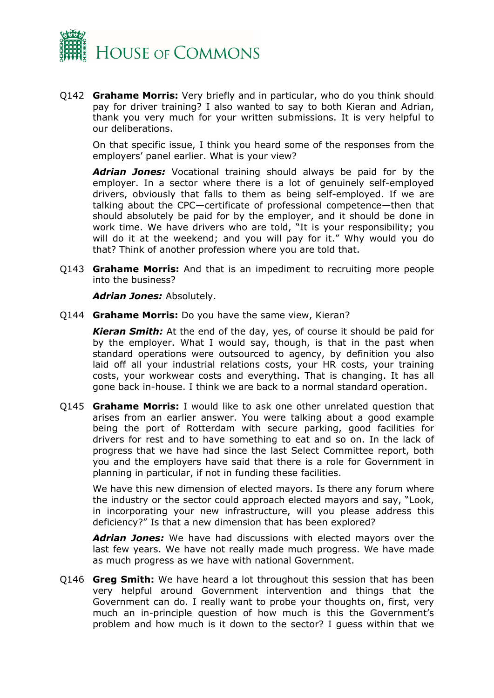

Q142 **Grahame Morris:** Very briefly and in particular, who do you think should pay for driver training? I also wanted to say to both Kieran and Adrian, thank you very much for your written submissions. It is very helpful to our deliberations.

On that specific issue, I think you heard some of the responses from the employers' panel earlier. What is your view?

*Adrian Jones:* Vocational training should always be paid for by the employer. In a sector where there is a lot of genuinely self-employed drivers, obviously that falls to them as being self-employed. If we are talking about the CPC—certificate of professional competence—then that should absolutely be paid for by the employer, and it should be done in work time. We have drivers who are told, "It is your responsibility; you will do it at the weekend; and you will pay for it." Why would you do that? Think of another profession where you are told that.

Q143 **Grahame Morris:** And that is an impediment to recruiting more people into the business?

*Adrian Jones:* Absolutely.

Q144 **Grahame Morris:** Do you have the same view, Kieran?

*Kieran Smith:* At the end of the day, yes, of course it should be paid for by the employer. What I would say, though, is that in the past when standard operations were outsourced to agency, by definition you also laid off all your industrial relations costs, your HR costs, your training costs, your workwear costs and everything. That is changing. It has all gone back in-house. I think we are back to a normal standard operation.

Q145 **Grahame Morris:** I would like to ask one other unrelated question that arises from an earlier answer. You were talking about a good example being the port of Rotterdam with secure parking, good facilities for drivers for rest and to have something to eat and so on. In the lack of progress that we have had since the last Select Committee report, both you and the employers have said that there is a role for Government in planning in particular, if not in funding these facilities.

We have this new dimension of elected mayors. Is there any forum where the industry or the sector could approach elected mayors and say, "Look, in incorporating your new infrastructure, will you please address this deficiency?" Is that a new dimension that has been explored?

*Adrian Jones:* We have had discussions with elected mayors over the last few years. We have not really made much progress. We have made as much progress as we have with national Government.

Q146 **Greg Smith:** We have heard a lot throughout this session that has been very helpful around Government intervention and things that the Government can do. I really want to probe your thoughts on, first, very much an in-principle question of how much is this the Government's problem and how much is it down to the sector? I guess within that we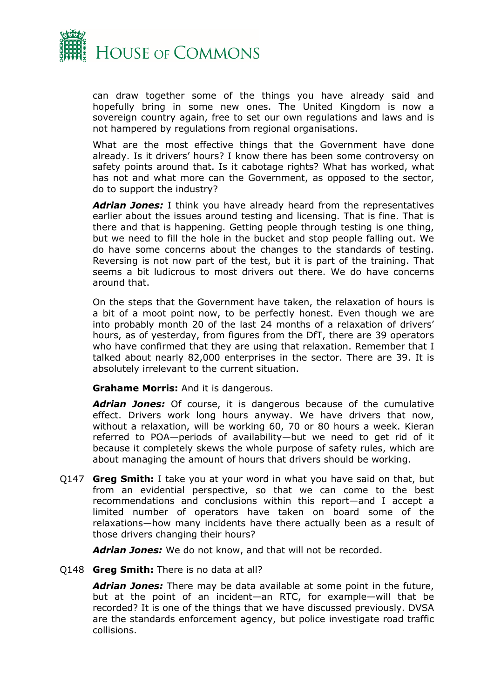

can draw together some of the things you have already said and hopefully bring in some new ones. The United Kingdom is now a sovereign country again, free to set our own regulations and laws and is not hampered by regulations from regional organisations.

What are the most effective things that the Government have done already. Is it drivers' hours? I know there has been some controversy on safety points around that. Is it cabotage rights? What has worked, what has not and what more can the Government, as opposed to the sector, do to support the industry?

*Adrian Jones:* I think you have already heard from the representatives earlier about the issues around testing and licensing. That is fine. That is there and that is happening. Getting people through testing is one thing, but we need to fill the hole in the bucket and stop people falling out. We do have some concerns about the changes to the standards of testing. Reversing is not now part of the test, but it is part of the training. That seems a bit ludicrous to most drivers out there. We do have concerns around that.

On the steps that the Government have taken, the relaxation of hours is a bit of a moot point now, to be perfectly honest. Even though we are into probably month 20 of the last 24 months of a relaxation of drivers' hours, as of yesterday, from figures from the DfT, there are 39 operators who have confirmed that they are using that relaxation. Remember that I talked about nearly 82,000 enterprises in the sector. There are 39. It is absolutely irrelevant to the current situation.

**Grahame Morris:** And it is dangerous.

*Adrian Jones:* Of course, it is dangerous because of the cumulative effect. Drivers work long hours anyway. We have drivers that now, without a relaxation, will be working 60, 70 or 80 hours a week. Kieran referred to POA—periods of availability—but we need to get rid of it because it completely skews the whole purpose of safety rules, which are about managing the amount of hours that drivers should be working.

Q147 **Greg Smith:** I take you at your word in what you have said on that, but from an evidential perspective, so that we can come to the best recommendations and conclusions within this report—and I accept a limited number of operators have taken on board some of the relaxations—how many incidents have there actually been as a result of those drivers changing their hours?

*Adrian Jones:* We do not know, and that will not be recorded.

#### Q148 **Greg Smith:** There is no data at all?

*Adrian Jones:* There may be data available at some point in the future, but at the point of an incident—an RTC, for example—will that be recorded? It is one of the things that we have discussed previously. DVSA are the standards enforcement agency, but police investigate road traffic collisions.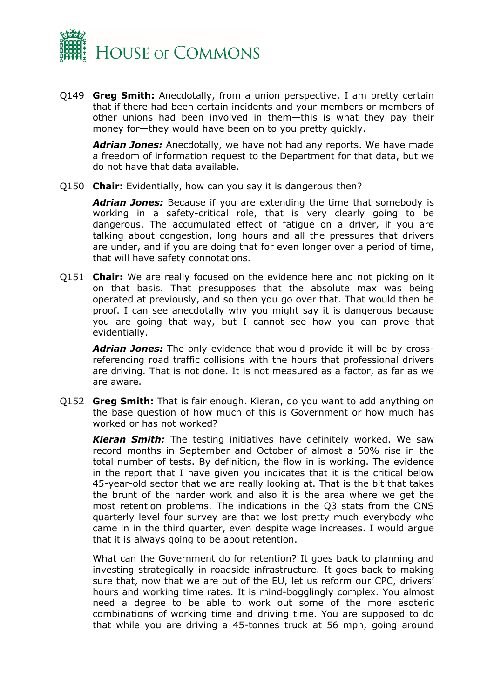

Q149 **Greg Smith:** Anecdotally, from a union perspective, I am pretty certain that if there had been certain incidents and your members or members of other unions had been involved in them—this is what they pay their money for—they would have been on to you pretty quickly.

*Adrian Jones:* Anecdotally, we have not had any reports. We have made a freedom of information request to the Department for that data, but we do not have that data available.

Q150 **Chair:** Evidentially, how can you say it is dangerous then?

*Adrian Jones:* Because if you are extending the time that somebody is working in a safety-critical role, that is very clearly going to be dangerous. The accumulated effect of fatigue on a driver, if you are talking about congestion, long hours and all the pressures that drivers are under, and if you are doing that for even longer over a period of time, that will have safety connotations.

Q151 **Chair:** We are really focused on the evidence here and not picking on it on that basis. That presupposes that the absolute max was being operated at previously, and so then you go over that. That would then be proof. I can see anecdotally why you might say it is dangerous because you are going that way, but I cannot see how you can prove that evidentially.

*Adrian Jones:* The only evidence that would provide it will be by crossreferencing road traffic collisions with the hours that professional drivers are driving. That is not done. It is not measured as a factor, as far as we are aware.

Q152 **Greg Smith:** That is fair enough. Kieran, do you want to add anything on the base question of how much of this is Government or how much has worked or has not worked?

*Kieran Smith:* The testing initiatives have definitely worked. We saw record months in September and October of almost a 50% rise in the total number of tests. By definition, the flow in is working. The evidence in the report that I have given you indicates that it is the critical below 45-year-old sector that we are really looking at. That is the bit that takes the brunt of the harder work and also it is the area where we get the most retention problems. The indications in the Q3 stats from the ONS quarterly level four survey are that we lost pretty much everybody who came in in the third quarter, even despite wage increases. I would argue that it is always going to be about retention.

What can the Government do for retention? It goes back to planning and investing strategically in roadside infrastructure. It goes back to making sure that, now that we are out of the EU, let us reform our CPC, drivers' hours and working time rates. It is mind-bogglingly complex. You almost need a degree to be able to work out some of the more esoteric combinations of working time and driving time. You are supposed to do that while you are driving a 45-tonnes truck at 56 mph, going around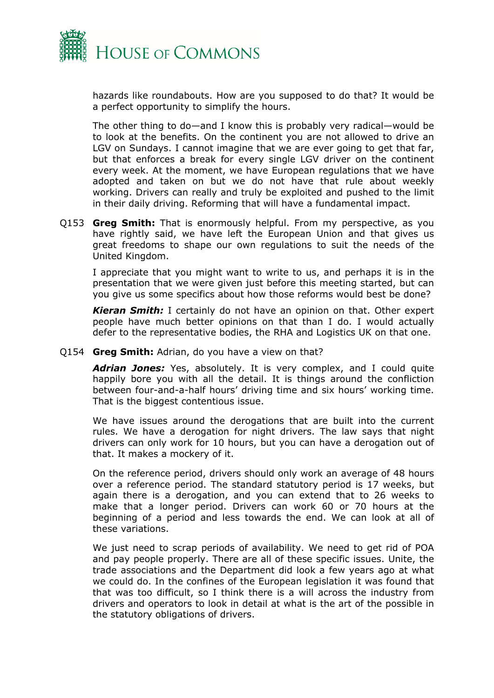

hazards like roundabouts. How are you supposed to do that? It would be a perfect opportunity to simplify the hours.

The other thing to do—and I know this is probably very radical—would be to look at the benefits. On the continent you are not allowed to drive an LGV on Sundays. I cannot imagine that we are ever going to get that far, but that enforces a break for every single LGV driver on the continent every week. At the moment, we have European regulations that we have adopted and taken on but we do not have that rule about weekly working. Drivers can really and truly be exploited and pushed to the limit in their daily driving. Reforming that will have a fundamental impact.

Q153 **Greg Smith:** That is enormously helpful. From my perspective, as you have rightly said, we have left the European Union and that gives us great freedoms to shape our own regulations to suit the needs of the United Kingdom.

I appreciate that you might want to write to us, and perhaps it is in the presentation that we were given just before this meeting started, but can you give us some specifics about how those reforms would best be done?

*Kieran Smith:* I certainly do not have an opinion on that. Other expert people have much better opinions on that than I do. I would actually defer to the representative bodies, the RHA and Logistics UK on that one.

Q154 **Greg Smith:** Adrian, do you have a view on that?

*Adrian Jones:* Yes, absolutely. It is very complex, and I could quite happily bore you with all the detail. It is things around the confliction between four-and-a-half hours' driving time and six hours' working time. That is the biggest contentious issue.

We have issues around the derogations that are built into the current rules. We have a derogation for night drivers. The law says that night drivers can only work for 10 hours, but you can have a derogation out of that. It makes a mockery of it.

On the reference period, drivers should only work an average of 48 hours over a reference period. The standard statutory period is 17 weeks, but again there is a derogation, and you can extend that to 26 weeks to make that a longer period. Drivers can work 60 or 70 hours at the beginning of a period and less towards the end. We can look at all of these variations.

We just need to scrap periods of availability. We need to get rid of POA and pay people properly. There are all of these specific issues. Unite, the trade associations and the Department did look a few years ago at what we could do. In the confines of the European legislation it was found that that was too difficult, so I think there is a will across the industry from drivers and operators to look in detail at what is the art of the possible in the statutory obligations of drivers.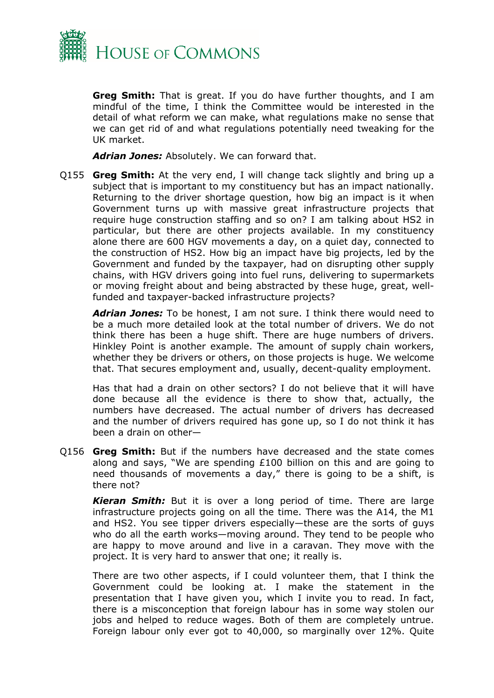

**Greg Smith:** That is great. If you do have further thoughts, and I am mindful of the time, I think the Committee would be interested in the detail of what reform we can make, what regulations make no sense that we can get rid of and what regulations potentially need tweaking for the UK market.

*Adrian Jones:* Absolutely. We can forward that.

Q155 **Greg Smith:** At the very end, I will change tack slightly and bring up a subject that is important to my constituency but has an impact nationally. Returning to the driver shortage question, how big an impact is it when Government turns up with massive great infrastructure projects that require huge construction staffing and so on? I am talking about HS2 in particular, but there are other projects available. In my constituency alone there are 600 HGV movements a day, on a quiet day, connected to the construction of HS2. How big an impact have big projects, led by the Government and funded by the taxpayer, had on disrupting other supply chains, with HGV drivers going into fuel runs, delivering to supermarkets or moving freight about and being abstracted by these huge, great, wellfunded and taxpayer-backed infrastructure projects?

*Adrian Jones:* To be honest, I am not sure. I think there would need to be a much more detailed look at the total number of drivers. We do not think there has been a huge shift. There are huge numbers of drivers. Hinkley Point is another example. The amount of supply chain workers, whether they be drivers or others, on those projects is huge. We welcome that. That secures employment and, usually, decent-quality employment.

Has that had a drain on other sectors? I do not believe that it will have done because all the evidence is there to show that, actually, the numbers have decreased. The actual number of drivers has decreased and the number of drivers required has gone up, so I do not think it has been a drain on other—

Q156 **Greg Smith:** But if the numbers have decreased and the state comes along and says, "We are spending £100 billion on this and are going to need thousands of movements a day," there is going to be a shift, is there not?

*Kieran Smith:* But it is over a long period of time. There are large infrastructure projects going on all the time. There was the A14, the M1 and HS2. You see tipper drivers especially—these are the sorts of guys who do all the earth works—moving around. They tend to be people who are happy to move around and live in a caravan. They move with the project. It is very hard to answer that one; it really is.

There are two other aspects, if I could volunteer them, that I think the Government could be looking at. I make the statement in the presentation that I have given you, which I invite you to read. In fact, there is a misconception that foreign labour has in some way stolen our jobs and helped to reduce wages. Both of them are completely untrue. Foreign labour only ever got to 40,000, so marginally over 12%. Quite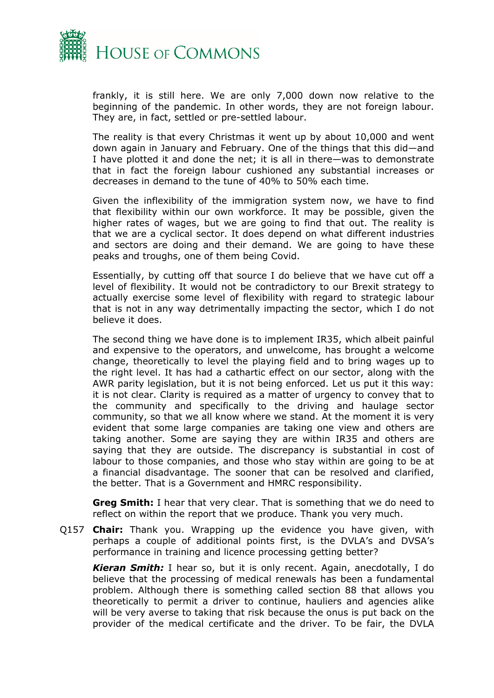

frankly, it is still here. We are only 7,000 down now relative to the beginning of the pandemic. In other words, they are not foreign labour. They are, in fact, settled or pre-settled labour.

The reality is that every Christmas it went up by about 10,000 and went down again in January and February. One of the things that this did—and I have plotted it and done the net; it is all in there—was to demonstrate that in fact the foreign labour cushioned any substantial increases or decreases in demand to the tune of 40% to 50% each time.

Given the inflexibility of the immigration system now, we have to find that flexibility within our own workforce. It may be possible, given the higher rates of wages, but we are going to find that out. The reality is that we are a cyclical sector. It does depend on what different industries and sectors are doing and their demand. We are going to have these peaks and troughs, one of them being Covid.

Essentially, by cutting off that source I do believe that we have cut off a level of flexibility. It would not be contradictory to our Brexit strategy to actually exercise some level of flexibility with regard to strategic labour that is not in any way detrimentally impacting the sector, which I do not believe it does.

The second thing we have done is to implement IR35, which albeit painful and expensive to the operators, and unwelcome, has brought a welcome change, theoretically to level the playing field and to bring wages up to the right level. It has had a cathartic effect on our sector, along with the AWR parity legislation, but it is not being enforced. Let us put it this way: it is not clear. Clarity is required as a matter of urgency to convey that to the community and specifically to the driving and haulage sector community, so that we all know where we stand. At the moment it is very evident that some large companies are taking one view and others are taking another. Some are saying they are within IR35 and others are saying that they are outside. The discrepancy is substantial in cost of labour to those companies, and those who stay within are going to be at a financial disadvantage. The sooner that can be resolved and clarified, the better. That is a Government and HMRC responsibility.

**Greg Smith:** I hear that very clear. That is something that we do need to reflect on within the report that we produce. Thank you very much.

Q157 **Chair:** Thank you. Wrapping up the evidence you have given, with perhaps a couple of additional points first, is the DVLA's and DVSA's performance in training and licence processing getting better?

*Kieran Smith:* I hear so, but it is only recent. Again, anecdotally, I do believe that the processing of medical renewals has been a fundamental problem. Although there is something called section 88 that allows you theoretically to permit a driver to continue, hauliers and agencies alike will be very averse to taking that risk because the onus is put back on the provider of the medical certificate and the driver. To be fair, the DVLA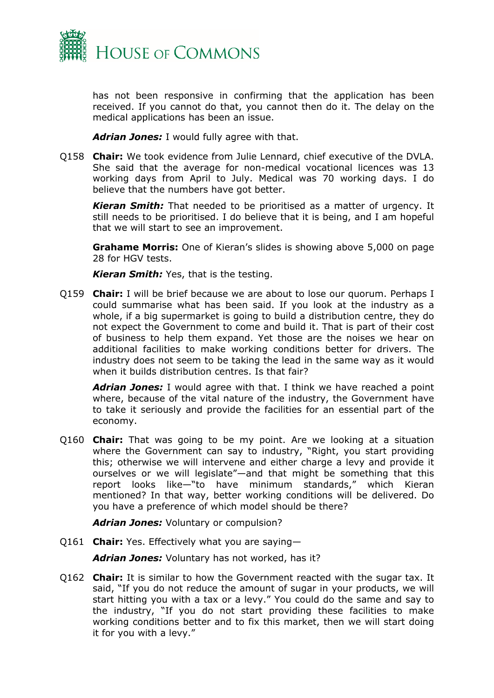

has not been responsive in confirming that the application has been received. If you cannot do that, you cannot then do it. The delay on the medical applications has been an issue.

*Adrian Jones:* I would fully agree with that.

Q158 **Chair:** We took evidence from Julie Lennard, chief executive of the DVLA. She said that the average for non-medical vocational licences was 13 working days from April to July. Medical was 70 working days. I do believe that the numbers have got better.

*Kieran Smith:* That needed to be prioritised as a matter of urgency. It still needs to be prioritised. I do believe that it is being, and I am hopeful that we will start to see an improvement.

**Grahame Morris:** One of Kieran's slides is showing above 5,000 on page 28 for HGV tests.

*Kieran Smith:* Yes, that is the testing.

Q159 **Chair:** I will be brief because we are about to lose our quorum. Perhaps I could summarise what has been said. If you look at the industry as a whole, if a big supermarket is going to build a distribution centre, they do not expect the Government to come and build it. That is part of their cost of business to help them expand. Yet those are the noises we hear on additional facilities to make working conditions better for drivers. The industry does not seem to be taking the lead in the same way as it would when it builds distribution centres. Is that fair?

*Adrian Jones:* I would agree with that. I think we have reached a point where, because of the vital nature of the industry, the Government have to take it seriously and provide the facilities for an essential part of the economy.

Q160 **Chair:** That was going to be my point. Are we looking at a situation where the Government can say to industry, "Right, you start providing this; otherwise we will intervene and either charge a levy and provide it ourselves or we will legislate"—and that might be something that this report looks like—"to have minimum standards," which Kieran mentioned? In that way, better working conditions will be delivered. Do you have a preference of which model should be there?

*Adrian Jones:* Voluntary or compulsion?

Q161 **Chair:** Yes. Effectively what you are saying—

*Adrian Jones:* Voluntary has not worked, has it?

Q162 **Chair:** It is similar to how the Government reacted with the sugar tax. It said, "If you do not reduce the amount of sugar in your products, we will start hitting you with a tax or a levy." You could do the same and say to the industry, "If you do not start providing these facilities to make working conditions better and to fix this market, then we will start doing it for you with a levy."